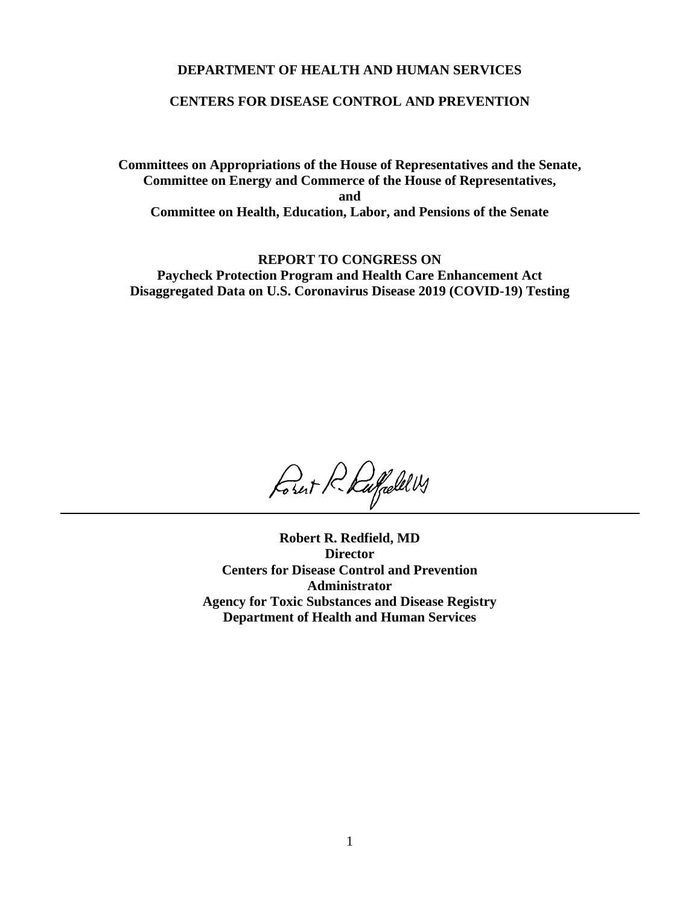#### **DEPARTMENT OF HEALTH AND HUMAN SERVICES**

#### **CENTERS FOR DISEASE CONTROL AND PREVENTION**

**Committees on Appropriations of the House of Representatives and the Senate, Committee on Energy and Commerce of the House of Representatives, and Committee on Health, Education, Labor, and Pensions of the Senate**

**REPORT TO CONGRESS ON Paycheck Protection Program and Health Care Enhancement Act Disaggregated Data on U.S. Coronavirus Disease 2019 (COVID-19) Testing**

Lorent R. Kuffell W

**Robert R. Redfield, MD Director Centers for Disease Control and Prevention Administrator Agency for Toxic Substances and Disease Registry Department of Health and Human Services**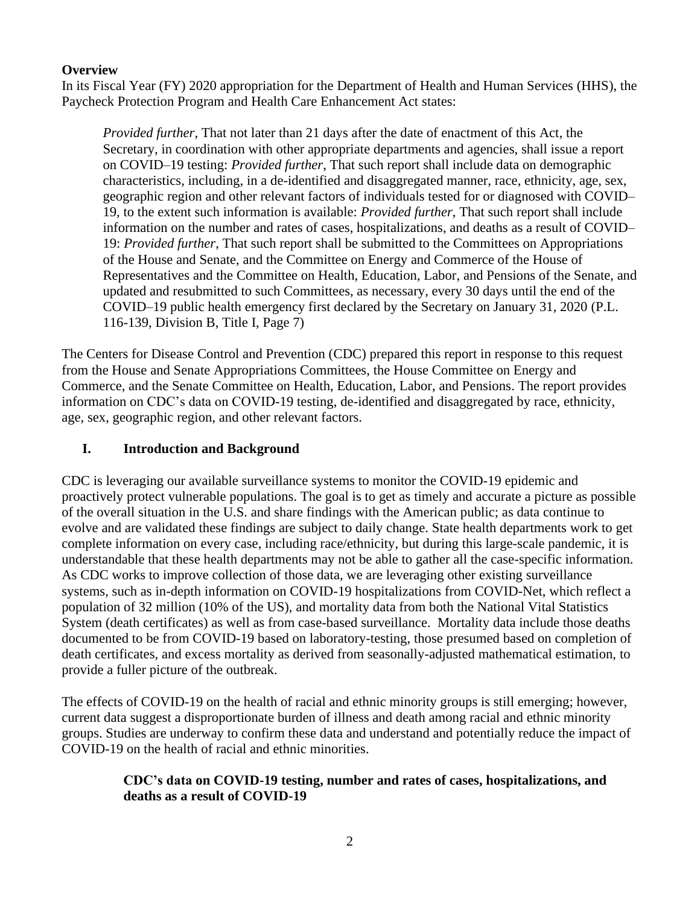# **Overview**

In its Fiscal Year (FY) 2020 appropriation for the Department of Health and Human Services (HHS), the Paycheck Protection Program and Health Care Enhancement Act states:

*Provided further*, That not later than 21 days after the date of enactment of this Act, the Secretary, in coordination with other appropriate departments and agencies, shall issue a report on COVID–19 testing: *Provided further*, That such report shall include data on demographic characteristics, including, in a de-identified and disaggregated manner, race, ethnicity, age, sex, geographic region and other relevant factors of individuals tested for or diagnosed with COVID– 19, to the extent such information is available: *Provided further*, That such report shall include information on the number and rates of cases, hospitalizations, and deaths as a result of COVID– 19: *Provided further*, That such report shall be submitted to the Committees on Appropriations of the House and Senate, and the Committee on Energy and Commerce of the House of Representatives and the Committee on Health, Education, Labor, and Pensions of the Senate, and updated and resubmitted to such Committees, as necessary, every 30 days until the end of the COVID–19 public health emergency first declared by the Secretary on January 31, 2020 (P.L. 116-139, Division B, Title I, Page 7)

The Centers for Disease Control and Prevention (CDC) prepared this report in response to this request from the House and Senate Appropriations Committees, the House Committee on Energy and Commerce, and the Senate Committee on Health, Education, Labor, and Pensions. The report provides information on CDC's data on COVID-19 testing, de-identified and disaggregated by race, ethnicity, age, sex, geographic region, and other relevant factors.

# **I. Introduction and Background**

CDC is leveraging our available surveillance systems to monitor the COVID-19 epidemic and proactively protect vulnerable populations. The goal is to get as timely and accurate a picture as possible of the overall situation in the U.S. and share findings with the American public; as data continue to evolve and are validated these findings are subject to daily change. State health departments work to get complete information on every case, including race/ethnicity, but during this large-scale pandemic, it is understandable that these health departments may not be able to gather all the case-specific information. As CDC works to improve collection of those data, we are leveraging other existing surveillance systems, such as in-depth information on COVID-19 hospitalizations from COVID-Net, which reflect a population of 32 million (10% of the US), and mortality data from both the National Vital Statistics System (death certificates) as well as from case-based surveillance. Mortality data include those deaths documented to be from COVID-19 based on laboratory-testing, those presumed based on completion of death certificates, and excess mortality as derived from seasonally-adjusted mathematical estimation, to provide a fuller picture of the outbreak.

The effects of COVID-19 on the health of racial and ethnic minority groups is still emerging; however, current data suggest a disproportionate burden of illness and death among racial and ethnic minority groups. Studies are underway to confirm these data and understand and potentially reduce the impact of COVID-19 on the health of racial and ethnic minorities.

#### **CDC's data on COVID-19 testing, number and rates of cases, hospitalizations, and deaths as a result of COVID-19**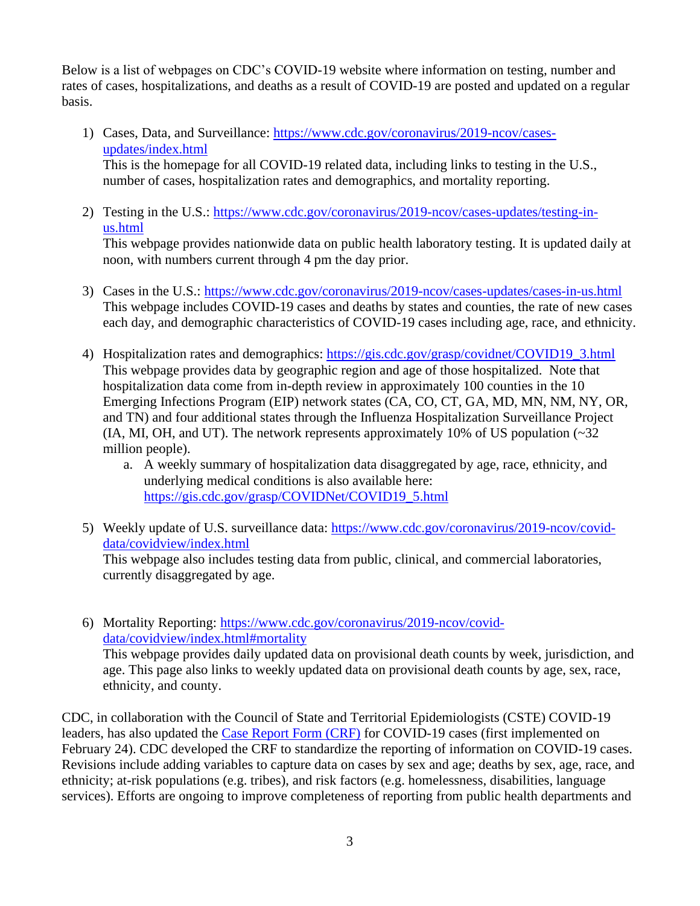Below is a list of webpages on CDC's COVID-19 website where information on testing, number and rates of cases, hospitalizations, and deaths as a result of COVID-19 are posted and updated on a regular basis.

- 1) Cases, Data, and Surveillance: [https://www.cdc.gov/coronavirus/2019-ncov/cases](https://www.cdc.gov/coronavirus/2019-ncov/cases-updates/index.html)[updates/index.html](https://www.cdc.gov/coronavirus/2019-ncov/cases-updates/index.html) This is the homepage for all COVID-19 related data, including links to testing in the U.S., number of cases, hospitalization rates and demographics, and mortality reporting.
- 2) Testing in the U.S.: [https://www.cdc.gov/coronavirus/2019-ncov/cases-updates/testing-in](https://www.cdc.gov/coronavirus/2019-ncov/cases-updates/testing-in-us.html)[us.html](https://www.cdc.gov/coronavirus/2019-ncov/cases-updates/testing-in-us.html) This webpage provides nationwide data on public health laboratory testing. It is updated daily at noon, with numbers current through 4 pm the day prior.
- 3) Cases in the U.S.:<https://www.cdc.gov/coronavirus/2019-ncov/cases-updates/cases-in-us.html> This webpage includes COVID-19 cases and deaths by states and counties, the rate of new cases each day, and demographic characteristics of COVID-19 cases including age, race, and ethnicity.
- 4) Hospitalization rates and demographics: [https://gis.cdc.gov/grasp/covidnet/COVID19\\_3.html](https://gis.cdc.gov/grasp/covidnet/COVID19_3.html) This webpage provides data by geographic region and age of those hospitalized. Note that hospitalization data come from in-depth review in approximately 100 counties in the 10 Emerging Infections Program (EIP) network states (CA, CO, CT, GA, MD, MN, NM, NY, OR, and TN) and four additional states through the Influenza Hospitalization Surveillance Project  $(IA, MI, OH, and UT)$ . The network represents approximately 10% of US population  $(\sim 32)$ million people).
	- a. A weekly summary of hospitalization data disaggregated by age, race, ethnicity, and underlying medical conditions is also available here: [https://gis.cdc.gov/grasp/COVIDNet/COVID19\\_5.html](https://gis.cdc.gov/grasp/COVIDNet/COVID19_5.html)
- 5) Weekly update of U.S. surveillance data: [https://www.cdc.gov/coronavirus/2019-ncov/covid](https://www.cdc.gov/coronavirus/2019-ncov/covid-data/covidview/index.html)[data/covidview/index.html](https://www.cdc.gov/coronavirus/2019-ncov/covid-data/covidview/index.html) This webpage also includes testing data from public, clinical, and commercial laboratories, currently disaggregated by age.
- 6) Mortality Reporting: [https://www.cdc.gov/coronavirus/2019-ncov/covid](https://www.cdc.gov/coronavirus/2019-ncov/covid-data/covidview/index.html#mortality)[data/covidview/index.html#mortality](https://www.cdc.gov/coronavirus/2019-ncov/covid-data/covidview/index.html#mortality) This webpage provides daily updated data on provisional death counts by week, jurisdiction, and age. This page also links to weekly updated data on provisional death counts by age, sex, race, ethnicity, and county.

CDC, in collaboration with the Council of State and Territorial Epidemiologists (CSTE) COVID-19 leaders, has also updated the [Case Report Form \(CRF\)](https://www.cdc.gov/coronavirus/2019-ncov/php/reporting-pui.html) for COVID-19 cases (first implemented on February 24). CDC developed the CRF to standardize the reporting of information on COVID-19 cases. Revisions include adding variables to capture data on cases by sex and age; deaths by sex, age, race, and ethnicity; at-risk populations (e.g. tribes), and risk factors (e.g. homelessness, disabilities, language services). Efforts are ongoing to improve completeness of reporting from public health departments and